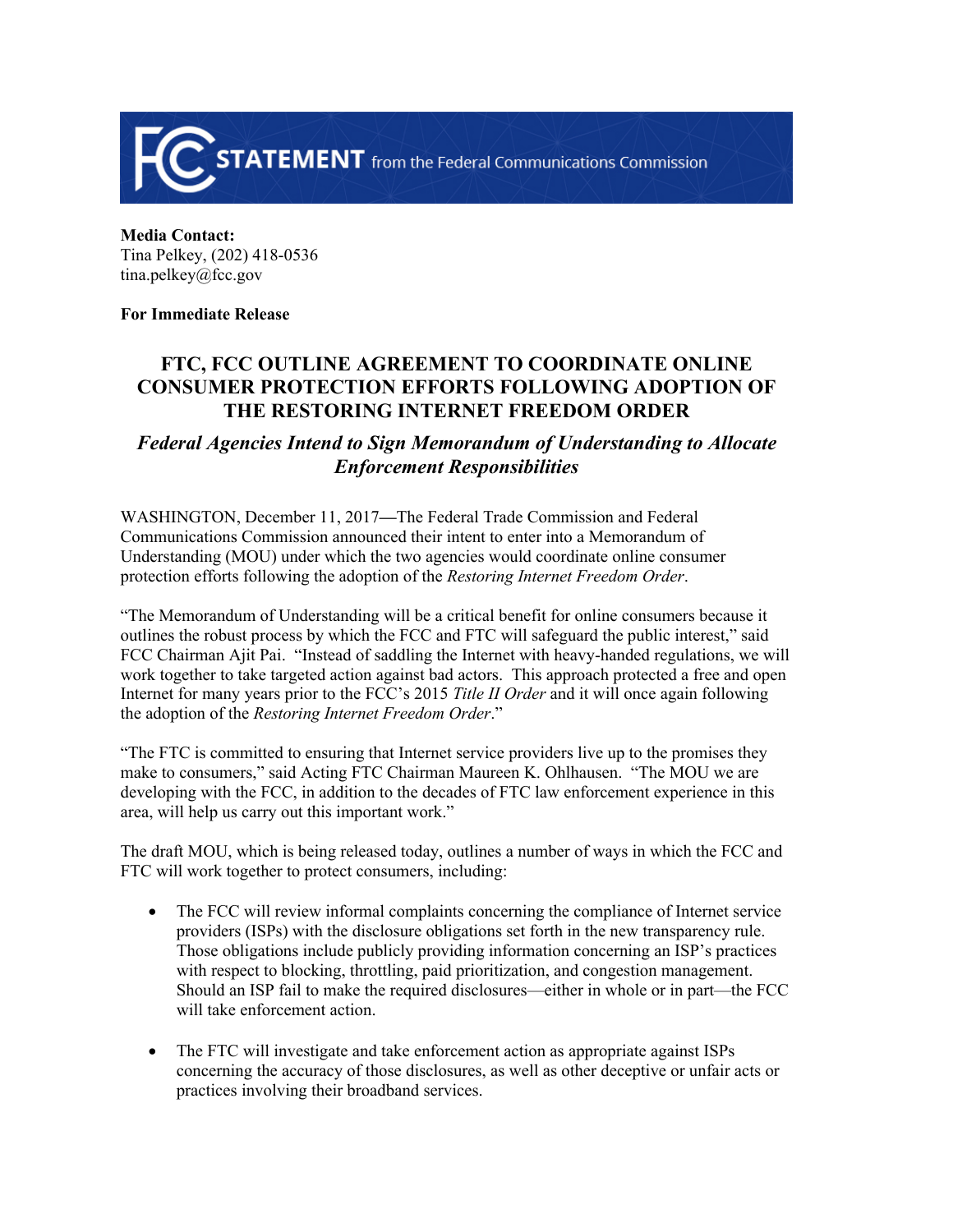

**Media Contact:**  Tina Pelkey, (202) 418-0536 tina.pelkey@fcc.gov

## **For Immediate Release**

## **FTC, FCC OUTLINE AGREEMENT TO COORDINATE ONLINE CONSUMER PROTECTION EFFORTS FOLLOWING ADOPTION OF THE RESTORING INTERNET FREEDOM ORDER**

## *Federal Agencies Intend to Sign Memorandum of Understanding to Allocate Enforcement Responsibilities*

WASHINGTON, December 11, 2017**—**The Federal Trade Commission and Federal Communications Commission announced their intent to enter into a Memorandum of Understanding (MOU) under which the two agencies would coordinate online consumer protection efforts following the adoption of the *Restoring Internet Freedom Order*.

"The Memorandum of Understanding will be a critical benefit for online consumers because it outlines the robust process by which the FCC and FTC will safeguard the public interest," said FCC Chairman Ajit Pai. "Instead of saddling the Internet with heavy-handed regulations, we will work together to take targeted action against bad actors. This approach protected a free and open Internet for many years prior to the FCC's 2015 *Title II Order* and it will once again following the adoption of the *Restoring Internet Freedom Order*."

"The FTC is committed to ensuring that Internet service providers live up to the promises they make to consumers," said Acting FTC Chairman Maureen K. Ohlhausen. "The MOU we are developing with the FCC, in addition to the decades of FTC law enforcement experience in this area, will help us carry out this important work."

The draft MOU, which is being released today, outlines a number of ways in which the FCC and FTC will work together to protect consumers, including:

- The FCC will review informal complaints concerning the compliance of Internet service providers (ISPs) with the disclosure obligations set forth in the new transparency rule. Those obligations include publicly providing information concerning an ISP's practices with respect to blocking, throttling, paid prioritization, and congestion management. Should an ISP fail to make the required disclosures—either in whole or in part—the FCC will take enforcement action.
- The FTC will investigate and take enforcement action as appropriate against ISPs concerning the accuracy of those disclosures, as well as other deceptive or unfair acts or practices involving their broadband services.